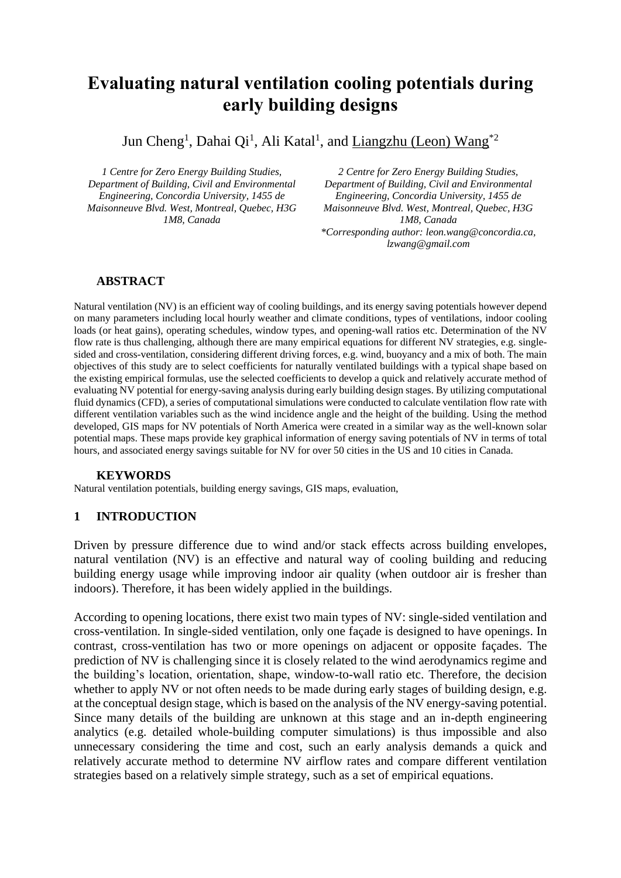# **Evaluating natural ventilation cooling potentials during early building designs**

Jun Cheng<sup>1</sup>, Dahai Qi<sup>1</sup>, Ali Katal<sup>1</sup>, and <u>Liangzhu (Leon) Wang</u><sup>\*2</sup>

*1 Centre for Zero Energy Building Studies, Department of Building, Civil and Environmental Engineering, Concordia University, 1455 de Maisonneuve Blvd. West, Montreal, Quebec, H3G 1M8, Canada*

*2 Centre for Zero Energy Building Studies, Department of Building, Civil and Environmental Engineering, Concordia University, 1455 de Maisonneuve Blvd. West, Montreal, Quebec, H3G 1M8, Canada \*Corresponding author: leon.wang@concordia.ca, lzwang@gmail.com*

### **ABSTRACT**

Natural ventilation (NV) is an efficient way of cooling buildings, and its energy saving potentials however depend on many parameters including local hourly weather and climate conditions, types of ventilations, indoor cooling loads (or heat gains), operating schedules, window types, and opening-wall ratios etc. Determination of the NV flow rate is thus challenging, although there are many empirical equations for different NV strategies, e.g. singlesided and cross-ventilation, considering different driving forces, e.g. wind, buoyancy and a mix of both. The main objectives of this study are to select coefficients for naturally ventilated buildings with a typical shape based on the existing empirical formulas, use the selected coefficients to develop a quick and relatively accurate method of evaluating NV potential for energy-saving analysis during early building design stages. By utilizing computational fluid dynamics (CFD), a series of computational simulations were conducted to calculate ventilation flow rate with different ventilation variables such as the wind incidence angle and the height of the building. Using the method developed, GIS maps for NV potentials of North America were created in a similar way as the well-known solar potential maps. These maps provide key graphical information of energy saving potentials of NV in terms of total hours, and associated energy savings suitable for NV for over 50 cities in the US and 10 cities in Canada.

#### **KEYWORDS**

Natural ventilation potentials, building energy savings, GIS maps, evaluation,

# **1 INTRODUCTION**

Driven by pressure difference due to wind and/or stack effects across building envelopes, natural ventilation (NV) is an effective and natural way of cooling building and reducing building energy usage while improving indoor air quality (when outdoor air is fresher than indoors). Therefore, it has been widely applied in the buildings.

According to opening locations, there exist two main types of NV: single-sided ventilation and cross-ventilation. In single-sided ventilation, only one façade is designed to have openings. In contrast, cross-ventilation has two or more openings on adjacent or opposite façades. The prediction of NV is challenging since it is closely related to the wind aerodynamics regime and the building's location, orientation, shape, window-to-wall ratio etc. Therefore, the decision whether to apply NV or not often needs to be made during early stages of building design, e.g. at the conceptual design stage, which is based on the analysis of the NV energy-saving potential. Since many details of the building are unknown at this stage and an in-depth engineering analytics (e.g. detailed whole-building computer simulations) is thus impossible and also unnecessary considering the time and cost, such an early analysis demands a quick and relatively accurate method to determine NV airflow rates and compare different ventilation strategies based on a relatively simple strategy, such as a set of empirical equations.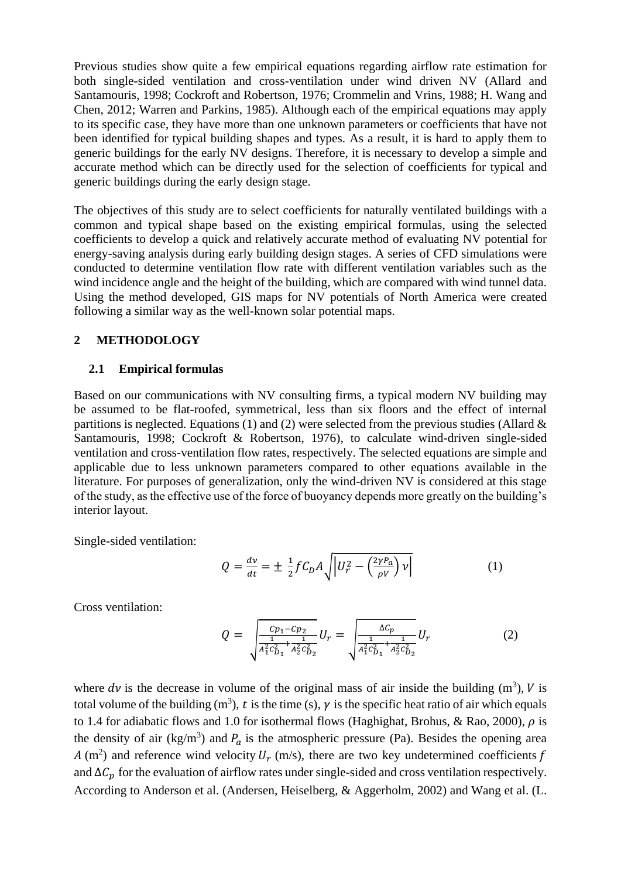Previous studies show quite a few empirical equations regarding airflow rate estimation for both single-sided ventilation and cross-ventilation under wind driven NV (Allard and Santamouris, 1998; Cockroft and Robertson, 1976; Crommelin and Vrins, 1988; H. Wang and Chen, 2012; Warren and Parkins, 1985). Although each of the empirical equations may apply to its specific case, they have more than one unknown parameters or coefficients that have not been identified for typical building shapes and types. As a result, it is hard to apply them to generic buildings for the early NV designs. Therefore, it is necessary to develop a simple and accurate method which can be directly used for the selection of coefficients for typical and generic buildings during the early design stage.

The objectives of this study are to select coefficients for naturally ventilated buildings with a common and typical shape based on the existing empirical formulas, using the selected coefficients to develop a quick and relatively accurate method of evaluating NV potential for energy-saving analysis during early building design stages. A series of CFD simulations were conducted to determine ventilation flow rate with different ventilation variables such as the wind incidence angle and the height of the building, which are compared with wind tunnel data. Using the method developed, GIS maps for NV potentials of North America were created following a similar way as the well-known solar potential maps.

#### **2 METHODOLOGY**

#### **2.1 Empirical formulas**

Based on our communications with NV consulting firms, a typical modern NV building may be assumed to be flat-roofed, symmetrical, less than six floors and the effect of internal partitions is neglected. Equations (1) and (2) were selected from the previous studies (Allard  $\&$ Santamouris, 1998; Cockroft & Robertson, 1976), to calculate wind-driven single-sided ventilation and cross-ventilation flow rates, respectively. The selected equations are simple and applicable due to less unknown parameters compared to other equations available in the literature. For purposes of generalization, only the wind-driven NV is considered at this stage of the study, as the effective use of the force of buoyancy depends more greatly on the building's interior layout.

Single-sided ventilation:

$$
Q = \frac{dv}{dt} = \pm \frac{1}{2} f C_D A \sqrt{|U_r^2 - \left(\frac{2\gamma P_a}{\rho V}\right) v|} \tag{1}
$$

Cross ventilation:

$$
Q = \sqrt{\frac{c p_1 - c p_2}{\frac{1}{A_1^2 c_{D_1}^2 + \frac{1}{A_2^2 c_{D_2}^2}}} U_r = \sqrt{\frac{\Delta c_p}{\frac{1}{A_1^2 c_{D_1}^2 + \frac{1}{A_2^2 c_{D_2}^2}}} U_r
$$
 (2)

where  $dv$  is the decrease in volume of the original mass of air inside the building  $(m^3)$ , V is total volume of the building (m<sup>3</sup>), t is the time (s),  $\gamma$  is the specific heat ratio of air which equals to 1.4 for adiabatic flows and 1.0 for isothermal flows (Haghighat, Brohus, & Rao, 2000),  $\rho$  is the density of air (kg/m<sup>3</sup>) and  $P_a$  is the atmospheric pressure (Pa). Besides the opening area A (m<sup>2</sup>) and reference wind velocity  $U_r$  (m/s), there are two key undetermined coefficients f and  $\Delta C_p$  for the evaluation of airflow rates under single-sided and cross ventilation respectively. According to Anderson et al. (Andersen, Heiselberg, & Aggerholm, 2002) and Wang et al. (L.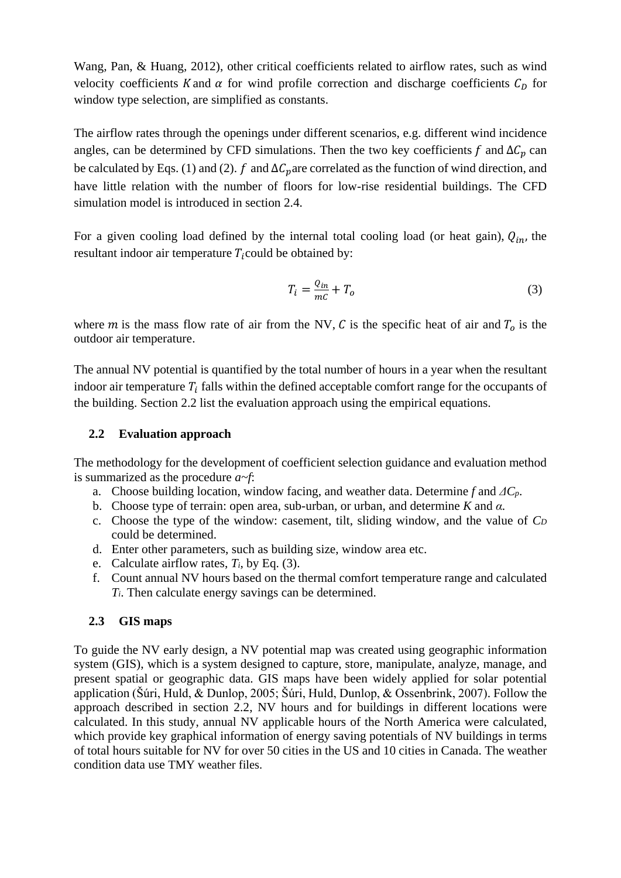Wang, Pan, & Huang, 2012), other critical coefficients related to airflow rates, such as wind velocity coefficients K and  $\alpha$  for wind profile correction and discharge coefficients  $C<sub>D</sub>$  for window type selection, are simplified as constants.

The airflow rates through the openings under different scenarios, e.g. different wind incidence angles, can be determined by CFD simulations. Then the two key coefficients f and  $\Delta C_n$  can be calculated by Eqs. (1) and (2).  $f$  and  $\Delta C_p$  are correlated as the function of wind direction, and have little relation with the number of floors for low-rise residential buildings. The CFD simulation model is introduced in section 2.4.

For a given cooling load defined by the internal total cooling load (or heat gain),  $Q_{in}$ , the resultant indoor air temperature  $T_i$  could be obtained by:

$$
T_i = \frac{Q_{in}}{mc} + T_o \tag{3}
$$

where *m* is the mass flow rate of air from the NV,  $C$  is the specific heat of air and  $T_0$  is the outdoor air temperature.

The annual NV potential is quantified by the total number of hours in a year when the resultant indoor air temperature  $T_i$  falls within the defined acceptable comfort range for the occupants of the building. Section 2.2 list the evaluation approach using the empirical equations.

### **2.2 Evaluation approach**

The methodology for the development of coefficient selection guidance and evaluation method is summarized as the procedure *a~f*:

- a. Choose building location, window facing, and weather data. Determine *f* and *ΔCp*.
- b. Choose type of terrain: open area, sub-urban, or urban, and determine *K* and *α.*
- c. Choose the type of the window: casement, tilt, sliding window, and the value of *C<sup>D</sup>* could be determined.
- d. Enter other parameters, such as building size, window area etc.
- e. Calculate airflow rates, *Ti*, by Eq. (3).
- f. Count annual NV hours based on the thermal comfort temperature range and calculated *Ti*. Then calculate energy savings can be determined.

# **2.3 GIS maps**

To guide the NV early design, a NV potential map was created using geographic information system (GIS), which is a system designed to capture, store, manipulate, analyze, manage, and present spatial or geographic data. GIS maps have been widely applied for solar potential application (Šúri, Huld, & Dunlop, 2005; Šúri, Huld, Dunlop, & Ossenbrink, 2007). Follow the approach described in section 2.2, NV hours and for buildings in different locations were calculated. In this study, annual NV applicable hours of the North America were calculated, which provide key graphical information of energy saving potentials of NV buildings in terms of total hours suitable for NV for over 50 cities in the US and 10 cities in Canada. The weather condition data use TMY weather files.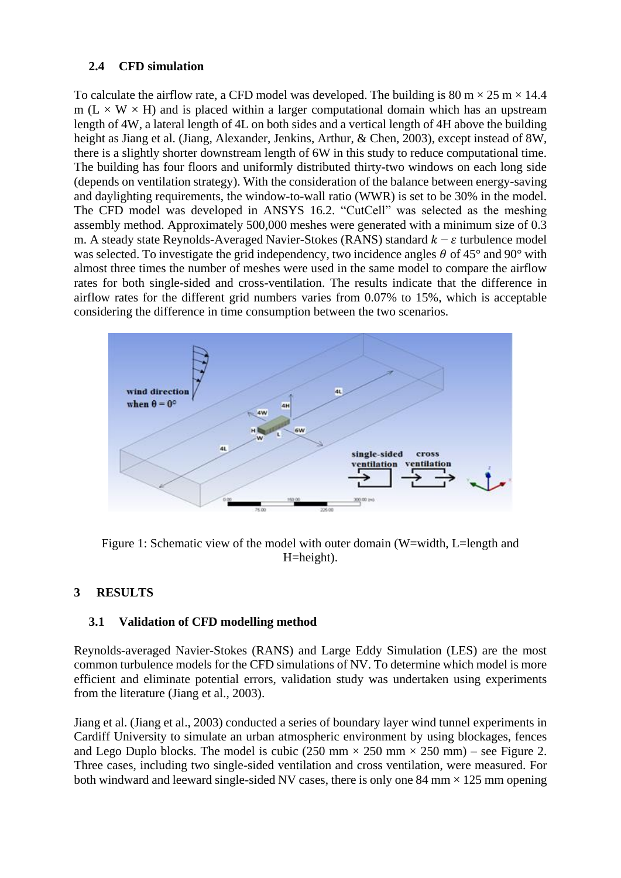# **2.4 CFD simulation**

To calculate the airflow rate, a CFD model was developed. The building is  $80 \text{ m} \times 25 \text{ m} \times 14.4$ m ( $L \times W \times H$ ) and is placed within a larger computational domain which has an upstream length of 4W, a lateral length of 4L on both sides and a vertical length of 4H above the building height as Jiang et al. (Jiang, Alexander, Jenkins, Arthur, & Chen, 2003), except instead of 8W, there is a slightly shorter downstream length of 6W in this study to reduce computational time. The building has four floors and uniformly distributed thirty-two windows on each long side (depends on ventilation strategy). With the consideration of the balance between energy-saving and daylighting requirements, the window-to-wall ratio (WWR) is set to be 30% in the model. The CFD model was developed in ANSYS 16.2. "CutCell" was selected as the meshing assembly method. Approximately 500,000 meshes were generated with a minimum size of 0.3 m. A steady state Reynolds-Averaged Navier-Stokes (RANS) standard  $k - \varepsilon$  turbulence model was selected. To investigate the grid independency, two incidence angles  $\theta$  of 45° and 90° with almost three times the number of meshes were used in the same model to compare the airflow rates for both single-sided and cross-ventilation. The results indicate that the difference in airflow rates for the different grid numbers varies from 0.07% to 15%, which is acceptable considering the difference in time consumption between the two scenarios.



Figure 1: Schematic view of the model with outer domain (W=width, L=length and H=height).

# **3 RESULTS**

# **3.1 Validation of CFD modelling method**

Reynolds-averaged Navier-Stokes (RANS) and Large Eddy Simulation (LES) are the most common turbulence models for the CFD simulations of NV. To determine which model is more efficient and eliminate potential errors, validation study was undertaken using experiments from the literature (Jiang et al., 2003).

Jiang et al. (Jiang et al., 2003) conducted a series of boundary layer wind tunnel experiments in Cardiff University to simulate an urban atmospheric environment by using blockages, fences and Lego Duplo blocks. The model is cubic (250 mm  $\times$  250 mm  $\times$  250 mm) – see Figure 2. Three cases, including two single-sided ventilation and cross ventilation, were measured. For both windward and leeward single-sided NV cases, there is only one 84 mm  $\times$  125 mm opening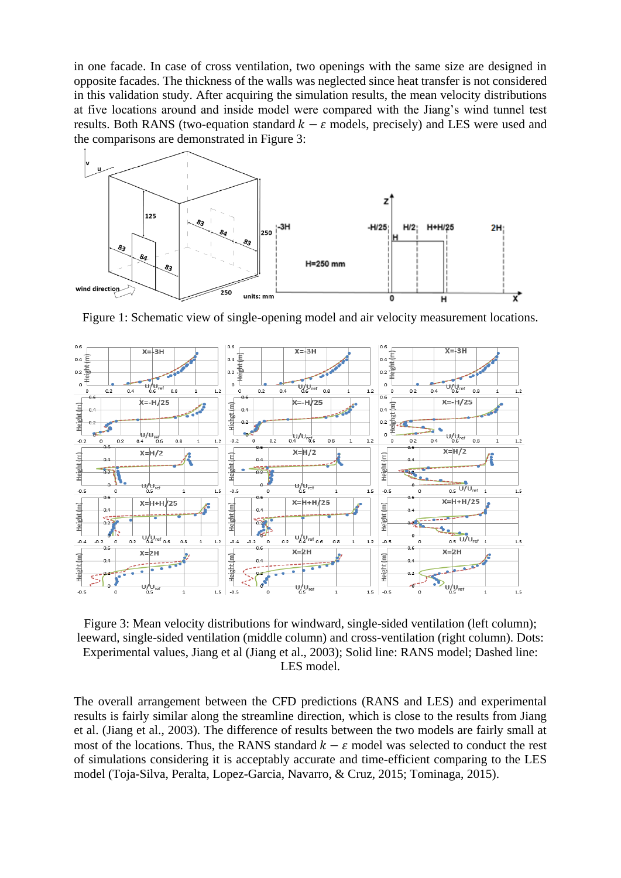in one facade. In case of cross ventilation, two openings with the same size are designed in opposite facades. The thickness of the walls was neglected since heat transfer is not considered in this validation study. After acquiring the simulation results, the mean velocity distributions at five locations around and inside model were compared with the Jiang's wind tunnel test results. Both RANS (two-equation standard  $k - \varepsilon$  models, precisely) and LES were used and the comparisons are demonstrated in Figure 3:



Figure 1: Schematic view of single-opening model and air velocity measurement locations.



Figure 3: Mean velocity distributions for windward, single-sided ventilation (left column); leeward, single-sided ventilation (middle column) and cross-ventilation (right column). Dots: Experimental values, Jiang et al (Jiang et al., 2003); Solid line: RANS model; Dashed line: LES model.

The overall arrangement between the CFD predictions (RANS and LES) and experimental results is fairly similar along the streamline direction, which is close to the results from Jiang et al. (Jiang et al., 2003). The difference of results between the two models are fairly small at most of the locations. Thus, the RANS standard  $k - \varepsilon$  model was selected to conduct the rest of simulations considering it is acceptably accurate and time-efficient comparing to the LES model (Toja-Silva, Peralta, Lopez-Garcia, Navarro, & Cruz, 2015; Tominaga, 2015).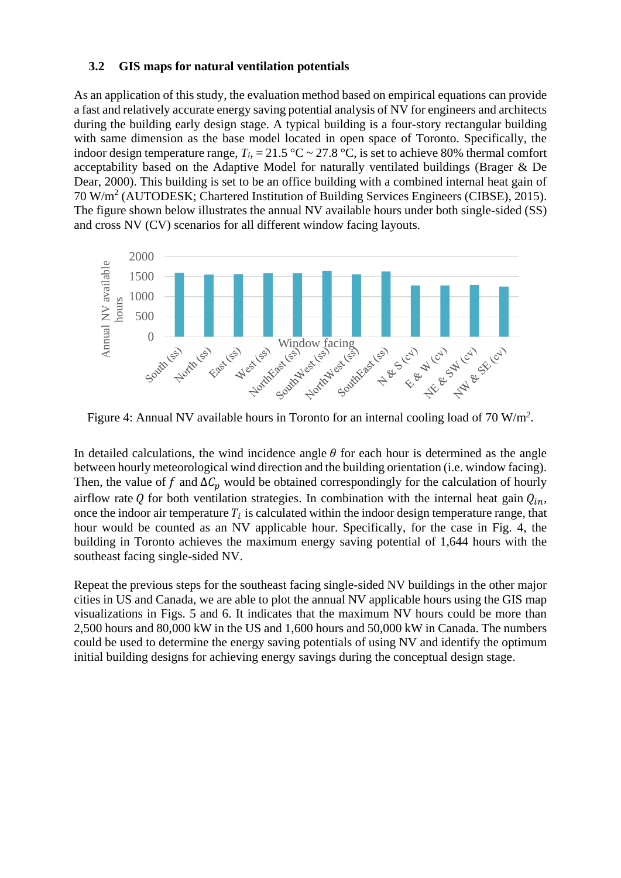#### **3.2 GIS maps for natural ventilation potentials**

As an application of this study, the evaluation method based on empirical equations can provide a fast and relatively accurate energy saving potential analysis of NV for engineers and architects during the building early design stage. A typical building is a four-story rectangular building with same dimension as the base model located in open space of Toronto. Specifically, the indoor design temperature range,  $T_i$ , = 21.5 °C ~ 27.8 °C, is set to achieve 80% thermal comfort acceptability based on the Adaptive Model for naturally ventilated buildings (Brager & De Dear, 2000). This building is set to be an office building with a combined internal heat gain of 70 W/m<sup>2</sup> (AUTODESK; Chartered Institution of Building Services Engineers (CIBSE), 2015). The figure shown below illustrates the annual NV available hours under both single-sided (SS) and cross NV (CV) scenarios for all different window facing layouts.



Figure 4: Annual NV available hours in Toronto for an internal cooling load of 70 W/m*<sup>2</sup>* .

In detailed calculations, the wind incidence angle  $\theta$  for each hour is determined as the angle between hourly meteorological wind direction and the building orientation (i.e. window facing). Then, the value of f and  $\Delta C_p$  would be obtained correspondingly for the calculation of hourly airflow rate Q for both ventilation strategies. In combination with the internal heat gain  $Q_{in}$ , once the indoor air temperature  $T_i$  is calculated within the indoor design temperature range, that hour would be counted as an NV applicable hour. Specifically, for the case in Fig. 4, the building in Toronto achieves the maximum energy saving potential of 1,644 hours with the southeast facing single-sided NV.

Repeat the previous steps for the southeast facing single-sided NV buildings in the other major cities in US and Canada, we are able to plot the annual NV applicable hours using the GIS map visualizations in Figs. 5 and 6. It indicates that the maximum NV hours could be more than 2,500 hours and 80,000 kW in the US and 1,600 hours and 50,000 kW in Canada. The numbers could be used to determine the energy saving potentials of using NV and identify the optimum initial building designs for achieving energy savings during the conceptual design stage.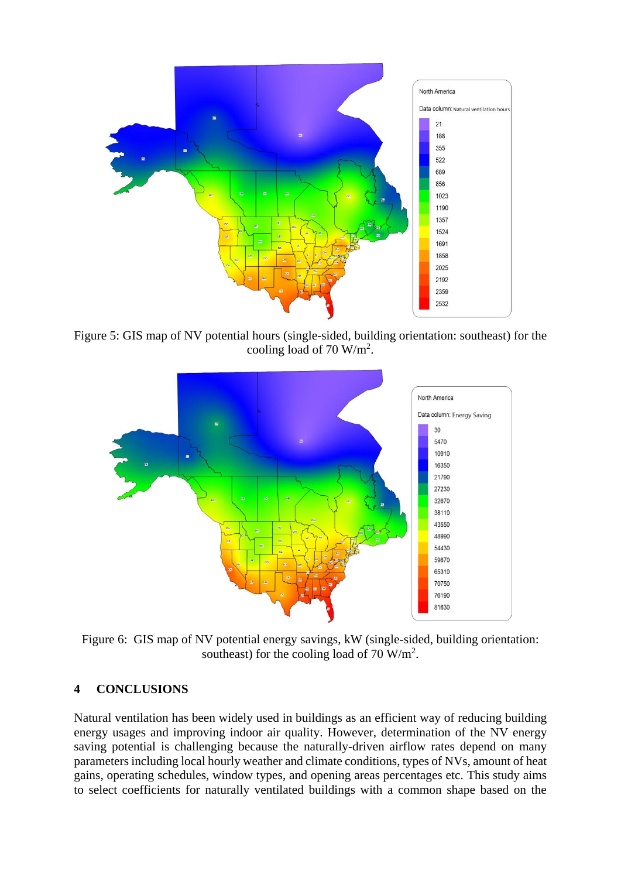

Figure 5: GIS map of NV potential hours (single-sided, building orientation: southeast) for the cooling load of 70  $W/m^2$ .



Figure 6: GIS map of NV potential energy savings, kW (single-sided, building orientation: southeast) for the cooling load of 70  $W/m^2$ .

# **4 CONCLUSIONS**

Natural ventilation has been widely used in buildings as an efficient way of reducing building energy usages and improving indoor air quality. However, determination of the NV energy saving potential is challenging because the naturally-driven airflow rates depend on many parameters including local hourly weather and climate conditions, types of NVs, amount of heat gains, operating schedules, window types, and opening areas percentages etc. This study aims to select coefficients for naturally ventilated buildings with a common shape based on the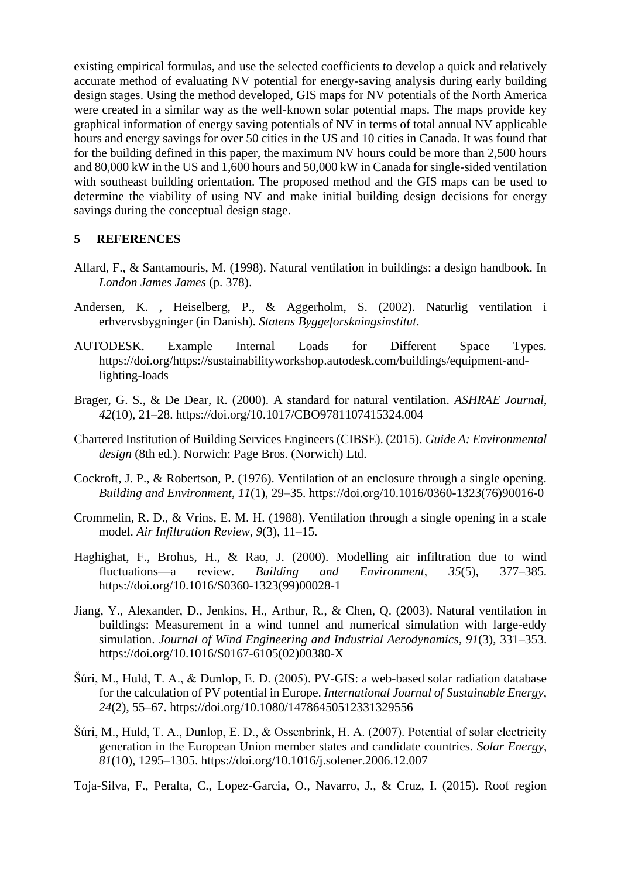existing empirical formulas, and use the selected coefficients to develop a quick and relatively accurate method of evaluating NV potential for energy-saving analysis during early building design stages. Using the method developed, GIS maps for NV potentials of the North America were created in a similar way as the well-known solar potential maps. The maps provide key graphical information of energy saving potentials of NV in terms of total annual NV applicable hours and energy savings for over 50 cities in the US and 10 cities in Canada. It was found that for the building defined in this paper, the maximum NV hours could be more than 2,500 hours and 80,000 kW in the US and 1,600 hours and 50,000 kW in Canada for single-sided ventilation with southeast building orientation. The proposed method and the GIS maps can be used to determine the viability of using NV and make initial building design decisions for energy savings during the conceptual design stage.

#### **5 REFERENCES**

- Allard, F., & Santamouris, M. (1998). Natural ventilation in buildings: a design handbook. In *London James James* (p. 378).
- Andersen, K. , Heiselberg, P., & Aggerholm, S. (2002). Naturlig ventilation i erhvervsbygninger (in Danish). *Statens Byggeforskningsinstitut*.
- AUTODESK. Example Internal Loads for Different Space Types. https://doi.org/https://sustainabilityworkshop.autodesk.com/buildings/equipment-andlighting-loads
- Brager, G. S., & De Dear, R. (2000). A standard for natural ventilation. *ASHRAE Journal*, *42*(10), 21–28. https://doi.org/10.1017/CBO9781107415324.004
- Chartered Institution of Building Services Engineers (CIBSE). (2015). *Guide A: Environmental design* (8th ed.). Norwich: Page Bros. (Norwich) Ltd.
- Cockroft, J. P., & Robertson, P. (1976). Ventilation of an enclosure through a single opening. *Building and Environment*, *11*(1), 29–35. https://doi.org/10.1016/0360-1323(76)90016-0
- Crommelin, R. D., & Vrins, E. M. H. (1988). Ventilation through a single opening in a scale model. *Air Infiltration Review*, *9*(3), 11–15.
- Haghighat, F., Brohus, H., & Rao, J. (2000). Modelling air infiltration due to wind fluctuations—a review. *Building and Environment*, *35*(5), 377–385. https://doi.org/10.1016/S0360-1323(99)00028-1
- Jiang, Y., Alexander, D., Jenkins, H., Arthur, R., & Chen, Q. (2003). Natural ventilation in buildings: Measurement in a wind tunnel and numerical simulation with large-eddy simulation. *Journal of Wind Engineering and Industrial Aerodynamics*, *91*(3), 331–353. https://doi.org/10.1016/S0167-6105(02)00380-X
- Šúri, M., Huld, T. A., & Dunlop, E. D. (2005). PV-GIS: a web-based solar radiation database for the calculation of PV potential in Europe. *International Journal of Sustainable Energy*, *24*(2), 55–67. https://doi.org/10.1080/14786450512331329556
- Šúri, M., Huld, T. A., Dunlop, E. D., & Ossenbrink, H. A. (2007). Potential of solar electricity generation in the European Union member states and candidate countries. *Solar Energy*, *81*(10), 1295–1305. https://doi.org/10.1016/j.solener.2006.12.007

Toja-Silva, F., Peralta, C., Lopez-Garcia, O., Navarro, J., & Cruz, I. (2015). Roof region